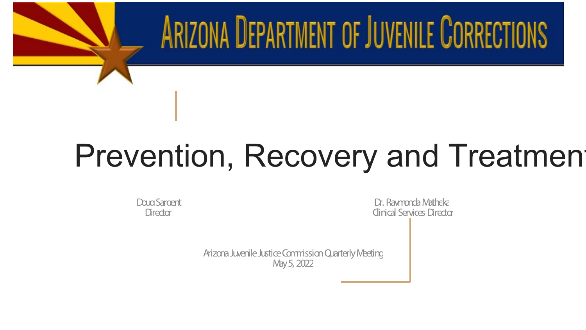## Prevention, Recovery and Treatment

ARIZONA DEPARTMENT OF JUVENILE CORRECTIONS

Doug Sargent Dr. Raymonda Matheka Director Clinical Services Director

> Arizona Juvenile Justice Commission Quarterly Meeting May 5, 2022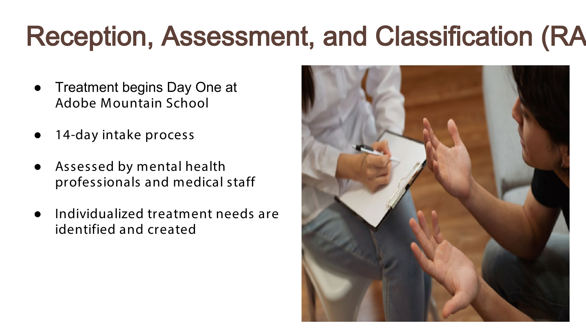### Reception, Assessment, and Classification (RA

- Treatment begins Day One at Adobe Mountain School
- 14-day intake process
- Assessed by mental health professionals and medical staff
- Individualized treatment needs are identified and created

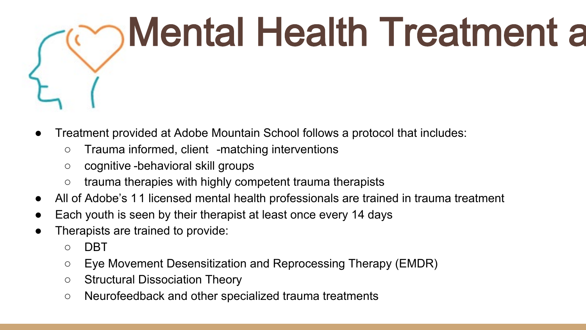

- Treatment provided at Adobe Mountain School follows a protocol that includes:
	- Trauma informed, client -matching interventions
	- cognitive -behavioral skill groups
	- trauma therapies with highly competent trauma therapists
- All of Adobe's 11 licensed mental health professionals are trained in trauma treatment
- Each youth is seen by their therapist at least once every 14 days
- Therapists are trained to provide:
	- DBT
	- Eye Movement Desensitization and Reprocessing Therapy (EMDR)
	- Structural Dissociation Theory
	- Neurofeedback and other specialized trauma treatments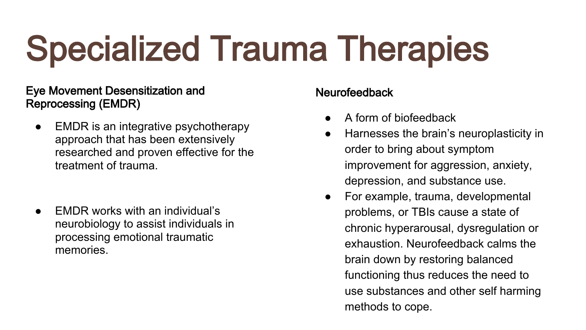# Specialized Trauma Therapies

#### Eye Movement Desensitization and Reprocessing (EMDR)

- EMDR is an integrative psychotherapy approach that has been extensively researched and proven effective for the treatment of trauma.
- **EMDR works with an individual's** neurobiology to assist individuals in processing emotional traumatic memories.

#### Neurofeedback

- A form of biofeedback
- Harnesses the brain's neuroplasticity in order to bring about symptom improvement for aggression, anxiety, depression, and substance use.
- For example, trauma, developmental problems, or TBIs cause a state of chronic hyperarousal, dysregulation or exhaustion. Neurofeedback calms the brain down by restoring balanced functioning thus reduces the need to use substances and other self harming methods to cope.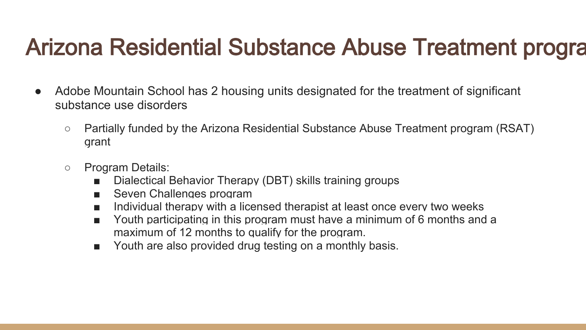### Arizona Residential Substance Abuse Treatment progra

- Adobe Mountain School has 2 housing units designated for the treatment of significant substance use disorders
	- Partially funded by the Arizona Residential Substance Abuse Treatment program (RSAT) grant
	- Program Details:
		- Dialectical Behavior Therapy (DBT) skills training groups
		- Seven Challenges program
		- Individual therapy with a licensed therapist at least once every two weeks
		- Youth participating in this program must have a minimum of 6 months and a maximum of 12 months to qualify for the program.
		- Youth are also provided drug testing on a monthly basis.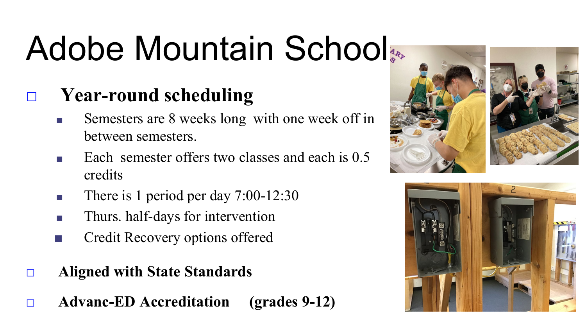# Adobe Mountain School

### □ **Year-round scheduling**

- Semesters are 8 weeks long with one week off in between semesters.
- Each semester offers two classes and each is 0.5 credits
- There is 1 period per day 7:00-12:30
- Thurs. half-days for intervention
- Credit Recovery options offered
- □ **Aligned with State Standards**
- □ **Advanc-ED Accreditation (grades 9-12)**



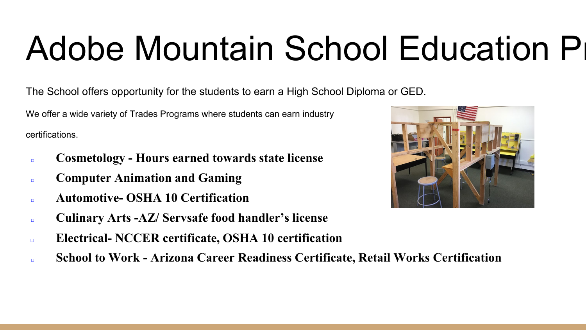# Adobe Mountain School Education Pr

The School offers opportunity for the students to earn a High School Diploma or GED.

We offer a wide variety of Trades Programs where students can earn industry certifications.

- □ **Cosmetology - Hours earned towards state license**
- □ **Computer Animation and Gaming**
- □ **Automotive- OSHA 10 Certification**
- □ **Culinary Arts -AZ/ Servsafe food handler's license**
- □ **Electrical- NCCER certificate, OSHA 10 certification**
- □ **School to Work - Arizona Career Readiness Certificate, Retail Works Certification**

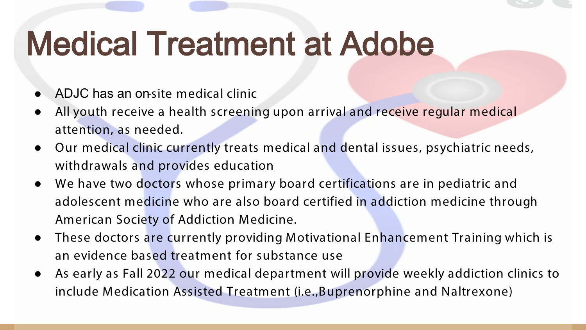### Medical Treatment at Adobe

- ADJC has an on-site medical clinic
- All youth receive a health screening upon arrival and receive regular medical attention, as needed.
- Our medical clinic currently treats medical and dental issues, psychiatric needs, withdrawals and provides education
- We have two doctors whose primary board certifications are in pediatric and adolescent medicine who are also board certified in addiction medicine through American Society of Addiction Medicine.
- These doctors are currently providing Motivational Enhancement Training which is an evidence based treatment for substance use
- As early as Fall 2022 our medical department will provide weekly addiction clinics to include Medication Assisted Treatment (i.e.,Buprenorphine and Naltrexone)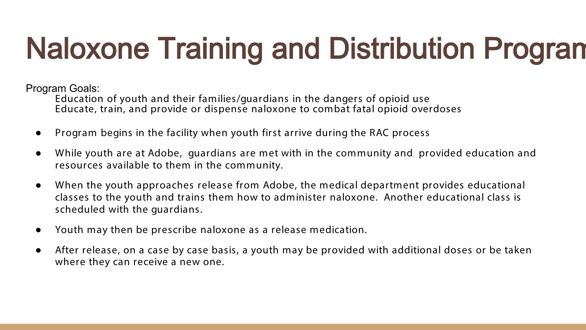### Naloxone Training and Distribution Program

Program Goals:

Education of youth and their families/guardians in the dangers of opioid use Educate, train, and provide or dispense naloxone to combat fatal opioid overdoses

- Program begins in the facility when youth first arrive during the RAC process
- While youth are at Adobe, guardians are met with in the community and provided education and resources available to them in the community.
- When the youth approaches release from Adobe, the medical department provides educational classes to the youth and trains them how to administer naloxone. Another educational class is scheduled with the guardians.
- Youth may then be prescribe naloxone as a release medication.
- After release, on a case by case basis, a youth may be provided with additional doses or be taken where they can receive a new one.